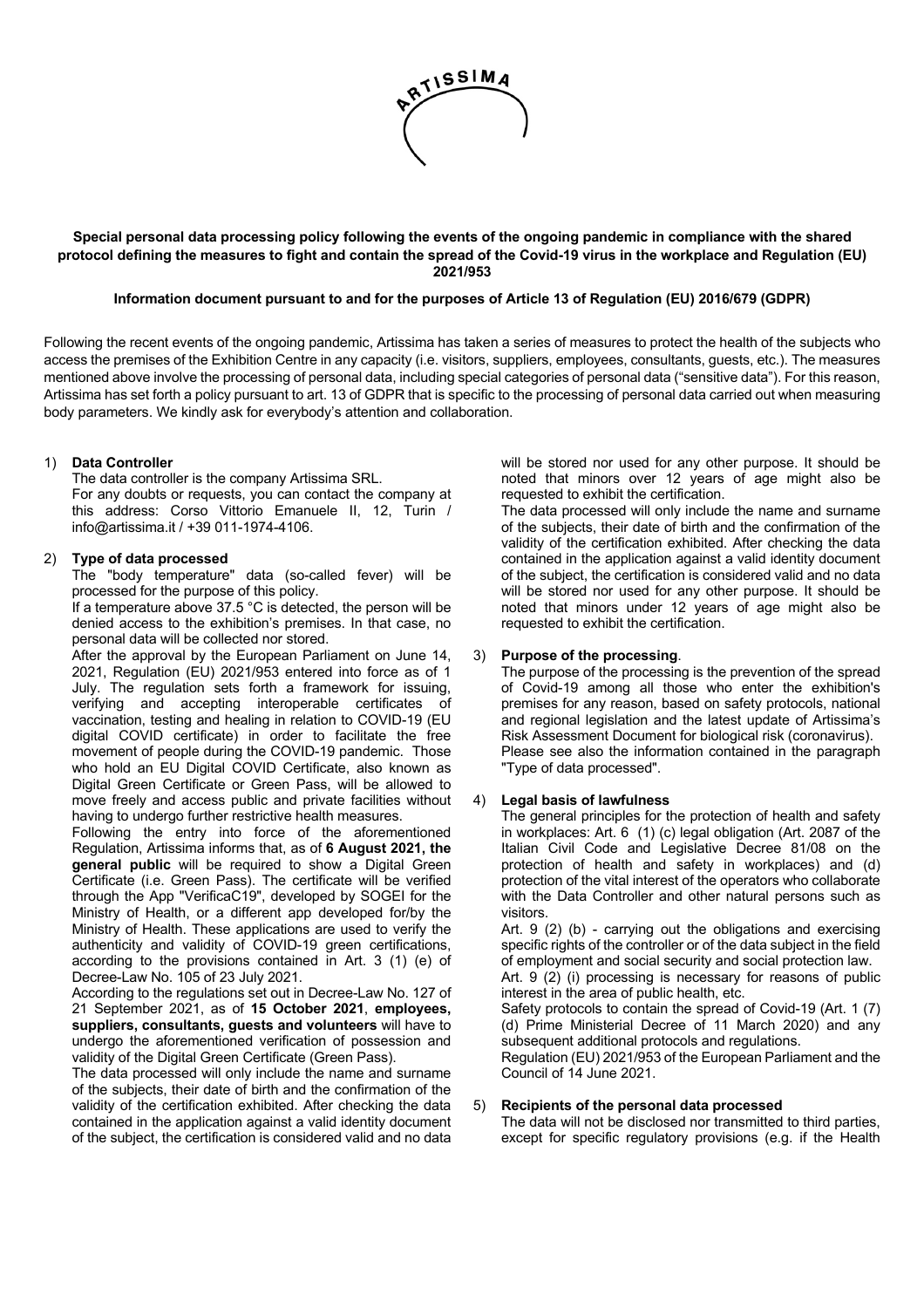

### **Special personal data processing policy following the events of the ongoing pandemic in compliance with the shared protocol defining the measures to fight and contain the spread of the Covid-19 virus in the workplace and Regulation (EU) 2021/953**

### **Information document pursuant to and for the purposes of Article 13 of Regulation (EU) 2016/679 (GDPR)**

Following the recent events of the ongoing pandemic, Artissima has taken a series of measures to protect the health of the subjects who access the premises of the Exhibition Centre in any capacity (i.e. visitors, suppliers, employees, consultants, guests, etc.). The measures mentioned above involve the processing of personal data, including special categories of personal data ("sensitive data"). For this reason, Artissima has set forth a policy pursuant to art. 13 of GDPR that is specific to the processing of personal data carried out when measuring body parameters. We kindly ask for everybody's attention and collaboration.

## 1) **Data Controller**

The data controller is the company Artissima SRL. For any doubts or requests, you can contact the company at this address: Corso Vittorio Emanuele II, 12, Turin / info@artissima.it / +39 011-1974-4106.

## 2) **Type of data processed**

The "body temperature" data (so-called fever) will be processed for the purpose of this policy.

If a temperature above 37.5 °C is detected, the person will be denied access to the exhibition's premises. In that case, no personal data will be collected nor stored.

After the approval by the European Parliament on June 14, 2021, Regulation (EU) 2021/953 entered into force as of 1 July. The regulation sets forth a framework for issuing, verifying and accepting interoperable certificates of vaccination, testing and healing in relation to COVID-19 (EU digital COVID certificate) in order to facilitate the free movement of people during the COVID-19 pandemic. Those who hold an EU Digital COVID Certificate, also known as Digital Green Certificate or Green Pass, will be allowed to move freely and access public and private facilities without having to undergo further restrictive health measures.

Following the entry into force of the aforementioned Regulation, Artissima informs that, as of **6 August 2021, the general public** will be required to show a Digital Green Certificate (i.e. Green Pass). The certificate will be verified through the App "VerificaC19", developed by SOGEI for the Ministry of Health, or a different app developed for/by the Ministry of Health. These applications are used to verify the authenticity and validity of COVID-19 green certifications, according to the provisions contained in Art. 3 (1) (e) of Decree-Law No. 105 of 23 July 2021.

According to the regulations set out in Decree-Law No. 127 of 21 September 2021, as of **15 October 2021**, **employees, suppliers, consultants, guests and volunteers** will have to undergo the aforementioned verification of possession and validity of the Digital Green Certificate (Green Pass).

The data processed will only include the name and surname of the subjects, their date of birth and the confirmation of the validity of the certification exhibited. After checking the data contained in the application against a valid identity document of the subject, the certification is considered valid and no data

will be stored nor used for any other purpose. It should be noted that minors over 12 years of age might also be requested to exhibit the certification.

The data processed will only include the name and surname of the subjects, their date of birth and the confirmation of the validity of the certification exhibited. After checking the data contained in the application against a valid identity document of the subject, the certification is considered valid and no data will be stored nor used for any other purpose. It should be noted that minors under 12 years of age might also be requested to exhibit the certification.

### 3) **Purpose of the processing**.

The purpose of the processing is the prevention of the spread of Covid-19 among all those who enter the exhibition's premises for any reason, based on safety protocols, national and regional legislation and the latest update of Artissima's Risk Assessment Document for biological risk (coronavirus). Please see also the information contained in the paragraph "Type of data processed".

# 4) **Legal basis of lawfulness**

The general principles for the protection of health and safety in workplaces: Art. 6 (1) (c) legal obligation (Art. 2087 of the Italian Civil Code and Legislative Decree 81/08 on the protection of health and safety in workplaces) and (d) protection of the vital interest of the operators who collaborate with the Data Controller and other natural persons such as visitors.

Art. 9 (2) (b) - carrying out the obligations and exercising specific rights of the controller or of the data subject in the field of employment and social security and social protection law.

Art. 9 (2) (i) processing is necessary for reasons of public interest in the area of public health, etc.

Safety protocols to contain the spread of Covid-19 (Art. 1 (7) (d) Prime Ministerial Decree of 11 March 2020) and any subsequent additional protocols and regulations.

Regulation (EU) 2021/953 of the European Parliament and the Council of 14 June 2021.

### 5) **Recipients of the personal data processed**

The data will not be disclosed nor transmitted to third parties, except for specific regulatory provisions (e.g. if the Health